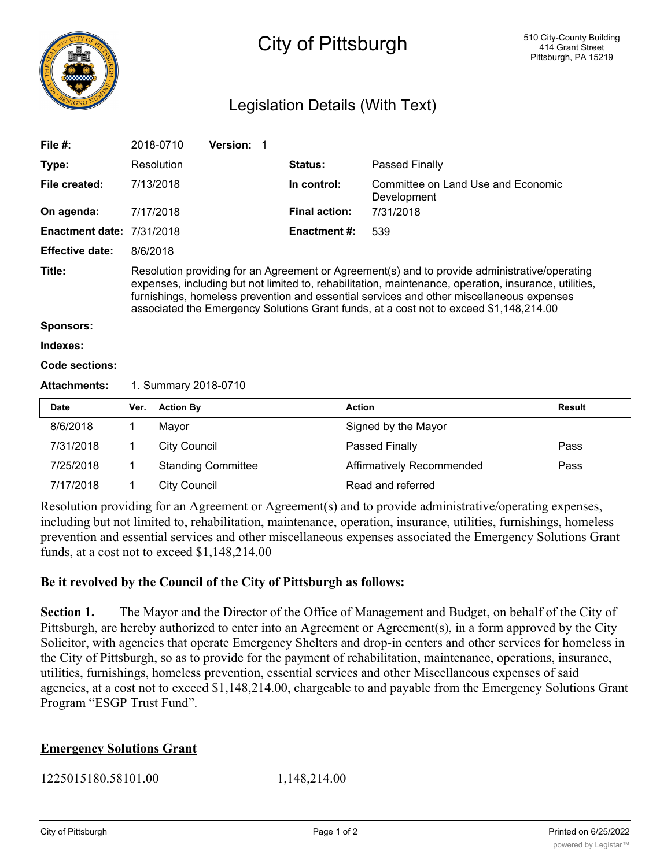

## City of Pittsburgh

## Legislation Details (With Text)

| File #:                |                                                                                                                                                                                                                                                                                                                                                                                              | 2018-0710                 | Version: 1 |  |                      |                           |                                    |  |
|------------------------|----------------------------------------------------------------------------------------------------------------------------------------------------------------------------------------------------------------------------------------------------------------------------------------------------------------------------------------------------------------------------------------------|---------------------------|------------|--|----------------------|---------------------------|------------------------------------|--|
| Type:                  |                                                                                                                                                                                                                                                                                                                                                                                              | Resolution                |            |  | <b>Status:</b>       | Passed Finally            |                                    |  |
| File created:          |                                                                                                                                                                                                                                                                                                                                                                                              | 7/13/2018                 |            |  | In control:          | Development               | Committee on Land Use and Economic |  |
| On agenda:             |                                                                                                                                                                                                                                                                                                                                                                                              | 7/17/2018                 |            |  | <b>Final action:</b> | 7/31/2018                 |                                    |  |
| <b>Enactment date:</b> | 7/31/2018                                                                                                                                                                                                                                                                                                                                                                                    |                           |            |  | <b>Enactment #:</b>  | 539                       |                                    |  |
| <b>Effective date:</b> | 8/6/2018                                                                                                                                                                                                                                                                                                                                                                                     |                           |            |  |                      |                           |                                    |  |
| Title:                 | Resolution providing for an Agreement or Agreement(s) and to provide administrative/operating<br>expenses, including but not limited to, rehabilitation, maintenance, operation, insurance, utilities,<br>furnishings, homeless prevention and essential services and other miscellaneous expenses<br>associated the Emergency Solutions Grant funds, at a cost not to exceed \$1,148,214.00 |                           |            |  |                      |                           |                                    |  |
| <b>Sponsors:</b>       |                                                                                                                                                                                                                                                                                                                                                                                              |                           |            |  |                      |                           |                                    |  |
| Indexes:               |                                                                                                                                                                                                                                                                                                                                                                                              |                           |            |  |                      |                           |                                    |  |
| Code sections:         |                                                                                                                                                                                                                                                                                                                                                                                              |                           |            |  |                      |                           |                                    |  |
| <b>Attachments:</b>    | 1. Summary 2018-0710                                                                                                                                                                                                                                                                                                                                                                         |                           |            |  |                      |                           |                                    |  |
| <b>Date</b>            | Ver.                                                                                                                                                                                                                                                                                                                                                                                         | <b>Action By</b>          |            |  |                      | <b>Action</b>             | <b>Result</b>                      |  |
| 8/6/2018               | 1                                                                                                                                                                                                                                                                                                                                                                                            | Mayor                     |            |  |                      | Signed by the Mayor       |                                    |  |
| 7/31/2018              | 1                                                                                                                                                                                                                                                                                                                                                                                            | <b>City Council</b>       |            |  |                      | Passed Finally            | Pass                               |  |
| 7/25/2018              | 1                                                                                                                                                                                                                                                                                                                                                                                            | <b>Standing Committee</b> |            |  |                      | Affirmatively Recommended | Pass                               |  |
| 7/17/2018              | 1                                                                                                                                                                                                                                                                                                                                                                                            | <b>City Council</b>       |            |  |                      | Read and referred         |                                    |  |

Resolution providing for an Agreement or Agreement(s) and to provide administrative/operating expenses, including but not limited to, rehabilitation, maintenance, operation, insurance, utilities, furnishings, homeless prevention and essential services and other miscellaneous expenses associated the Emergency Solutions Grant funds, at a cost not to exceed \$1,148,214.00

## **Be it revolved by the Council of the City of Pittsburgh as follows:**

**Section 1.** The Mayor and the Director of the Office of Management and Budget, on behalf of the City of Pittsburgh, are hereby authorized to enter into an Agreement or Agreement(s), in a form approved by the City Solicitor, with agencies that operate Emergency Shelters and drop-in centers and other services for homeless in the City of Pittsburgh, so as to provide for the payment of rehabilitation, maintenance, operations, insurance, utilities, furnishings, homeless prevention, essential services and other Miscellaneous expenses of said agencies, at a cost not to exceed \$1,148,214.00, chargeable to and payable from the Emergency Solutions Grant Program "ESGP Trust Fund".

## **Emergency Solutions Grant**

1,148,214.00 1,148,214.00